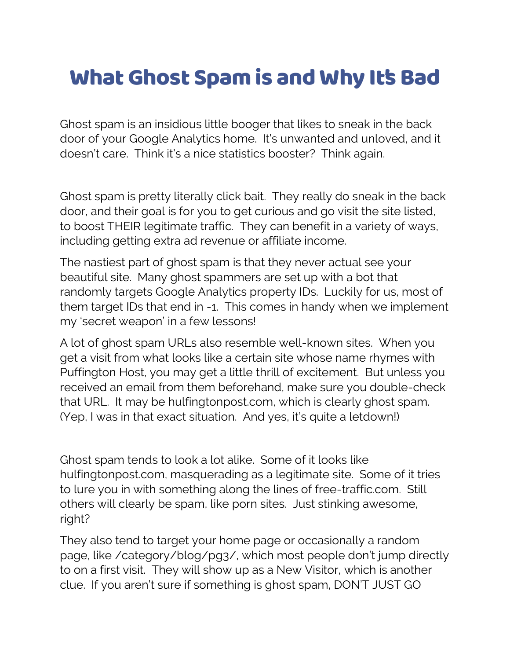## What Ghost Spam is and Why It's Bad

Ghost spam is an insidious little booger that likes to sneak in the back door of your Google Analytics home. It's unwanted and unloved, and it doesn't care. Think it's a nice statistics booster? Think again.

Ghost spam is pretty literally click bait. They really do sneak in the back door, and their goal is for you to get curious and go visit the site listed, to boost THEIR legitimate traffic. They can benefit in a variety of ways, including getting extra ad revenue or affiliate income.

The nastiest part of ghost spam is that they never actual see your beautiful site. Many ghost spammers are set up with a bot that randomly targets Google Analytics property IDs. Luckily for us, most of them target IDs that end in -1. This comes in handy when we implement my 'secret weapon' in a few lessons!

A lot of ghost spam URLs also resemble well-known sites. When you get a visit from what looks like a certain site whose name rhymes with Puffington Host, you may get a little thrill of excitement. But unless you received an email from them beforehand, make sure you double-check that URL. It may be hulfingtonpost.com, which is clearly ghost spam. (Yep, I was in that exact situation. And yes, it's quite a letdown!)

Ghost spam tends to look a lot alike. Some of it looks like hulfingtonpost.com, masquerading as a legitimate site. Some of it tries to lure you in with something along the lines of free-traffic.com. Still others will clearly be spam, like porn sites. Just stinking awesome, right?

They also tend to target your home page or occasionally a random page, like /category/blog/pg3/, which most people don't jump directly to on a first visit. They will show up as a New Visitor, which is another clue. If you aren't sure if something is ghost spam, DON'T JUST GO